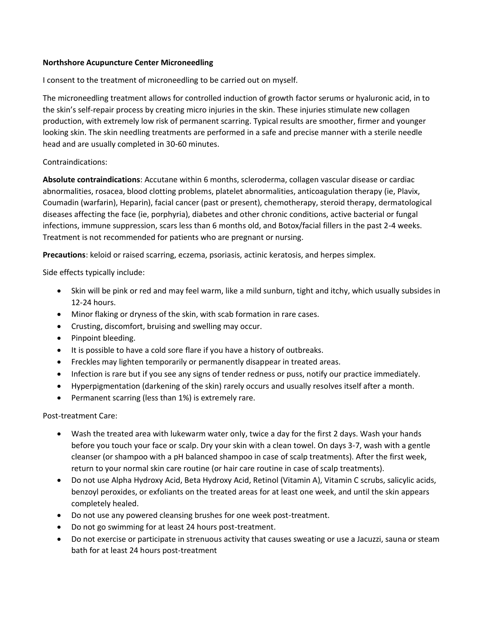## **Northshore Acupuncture Center Microneedling**

I consent to the treatment of microneedling to be carried out on myself.

The microneedling treatment allows for controlled induction of growth factor serums or hyaluronic acid, in to the skin's self-repair process by creating micro injuries in the skin. These injuries stimulate new collagen production, with extremely low risk of permanent scarring. Typical results are smoother, firmer and younger looking skin. The skin needling treatments are performed in a safe and precise manner with a sterile needle head and are usually completed in 30-60 minutes.

## Contraindications:

**Absolute contraindications**: Accutane within 6 months, scleroderma, collagen vascular disease or cardiac abnormalities, rosacea, blood clotting problems, platelet abnormalities, anticoagulation therapy (ie, Plavix, Coumadin (warfarin), Heparin), facial cancer (past or present), chemotherapy, steroid therapy, dermatological diseases affecting the face (ie, porphyria), diabetes and other chronic conditions, active bacterial or fungal infections, immune suppression, scars less than 6 months old, and Botox/facial fillers in the past 2-4 weeks. Treatment is not recommended for patients who are pregnant or nursing.

**Precautions**: keloid or raised scarring, eczema, psoriasis, actinic keratosis, and herpes simplex.

Side effects typically include:

- Skin will be pink or red and may feel warm, like a mild sunburn, tight and itchy, which usually subsides in 12-24 hours.
- Minor flaking or dryness of the skin, with scab formation in rare cases.
- Crusting, discomfort, bruising and swelling may occur.
- Pinpoint bleeding.
- It is possible to have a cold sore flare if you have a history of outbreaks.
- Freckles may lighten temporarily or permanently disappear in treated areas.
- Infection is rare but if you see any signs of tender redness or puss, notify our practice immediately.
- Hyperpigmentation (darkening of the skin) rarely occurs and usually resolves itself after a month.
- Permanent scarring (less than 1%) is extremely rare.

## Post-treatment Care:

- Wash the treated area with lukewarm water only, twice a day for the first 2 days. Wash your hands before you touch your face or scalp. Dry your skin with a clean towel. On days 3-7, wash with a gentle cleanser (or shampoo with a pH balanced shampoo in case of scalp treatments). After the first week, return to your normal skin care routine (or hair care routine in case of scalp treatments).
- Do not use Alpha Hydroxy Acid, Beta Hydroxy Acid, Retinol (Vitamin A), Vitamin C scrubs, salicylic acids, benzoyl peroxides, or exfoliants on the treated areas for at least one week, and until the skin appears completely healed.
- Do not use any powered cleansing brushes for one week post-treatment.
- Do not go swimming for at least 24 hours post-treatment.
- Do not exercise or participate in strenuous activity that causes sweating or use a Jacuzzi, sauna or steam bath for at least 24 hours post-treatment